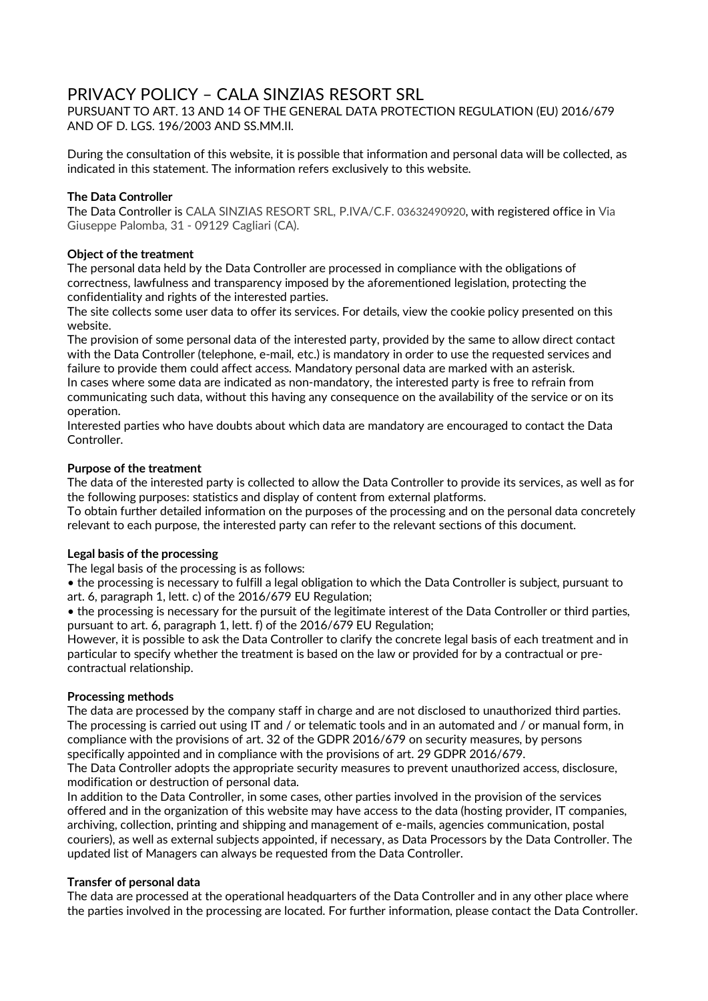# PRIVACY POLICY – CALA SINZIAS RESORT SRL

PURSUANT TO ART. 13 AND 14 OF THE GENERAL DATA PROTECTION REGULATION (EU) 2016/679 AND OF D. LGS. 196/2003 AND SS.MM.II.

During the consultation of this website, it is possible that information and personal data will be collected, as indicated in this statement. The information refers exclusively to this website.

# **The Data Controller**

The Data Controller is CALA SINZIAS RESORT SRL, P.IVA/C.F. 03632490920, with registered office in Via Giuseppe Palomba, 31 - 09129 Cagliari (CA).

# **Object of the treatment**

The personal data held by the Data Controller are processed in compliance with the obligations of correctness, lawfulness and transparency imposed by the aforementioned legislation, protecting the confidentiality and rights of the interested parties.

The site collects some user data to offer its services. For details, view the cookie policy presented on this website.

The provision of some personal data of the interested party, provided by the same to allow direct contact with the Data Controller (telephone, e-mail, etc.) is mandatory in order to use the requested services and failure to provide them could affect access. Mandatory personal data are marked with an asterisk.

In cases where some data are indicated as non-mandatory, the interested party is free to refrain from communicating such data, without this having any consequence on the availability of the service or on its operation.

Interested parties who have doubts about which data are mandatory are encouraged to contact the Data Controller.

#### **Purpose of the treatment**

The data of the interested party is collected to allow the Data Controller to provide its services, as well as for the following purposes: statistics and display of content from external platforms.

To obtain further detailed information on the purposes of the processing and on the personal data concretely relevant to each purpose, the interested party can refer to the relevant sections of this document.

#### **Legal basis of the processing**

The legal basis of the processing is as follows:

• the processing is necessary to fulfill a legal obligation to which the Data Controller is subject, pursuant to art. 6, paragraph 1, lett. c) of the 2016/679 EU Regulation;

• the processing is necessary for the pursuit of the legitimate interest of the Data Controller or third parties, pursuant to art. 6, paragraph 1, lett. f) of the 2016/679 EU Regulation;

However, it is possible to ask the Data Controller to clarify the concrete legal basis of each treatment and in particular to specify whether the treatment is based on the law or provided for by a contractual or precontractual relationship.

#### **Processing methods**

The data are processed by the company staff in charge and are not disclosed to unauthorized third parties. The processing is carried out using IT and / or telematic tools and in an automated and / or manual form, in compliance with the provisions of art. 32 of the GDPR 2016/679 on security measures, by persons specifically appointed and in compliance with the provisions of art. 29 GDPR 2016/679.

The Data Controller adopts the appropriate security measures to prevent unauthorized access, disclosure, modification or destruction of personal data.

In addition to the Data Controller, in some cases, other parties involved in the provision of the services offered and in the organization of this website may have access to the data (hosting provider, IT companies, archiving, collection, printing and shipping and management of e-mails, agencies communication, postal couriers), as well as external subjects appointed, if necessary, as Data Processors by the Data Controller. The updated list of Managers can always be requested from the Data Controller.

# **Transfer of personal data**

The data are processed at the operational headquarters of the Data Controller and in any other place where the parties involved in the processing are located. For further information, please contact the Data Controller.